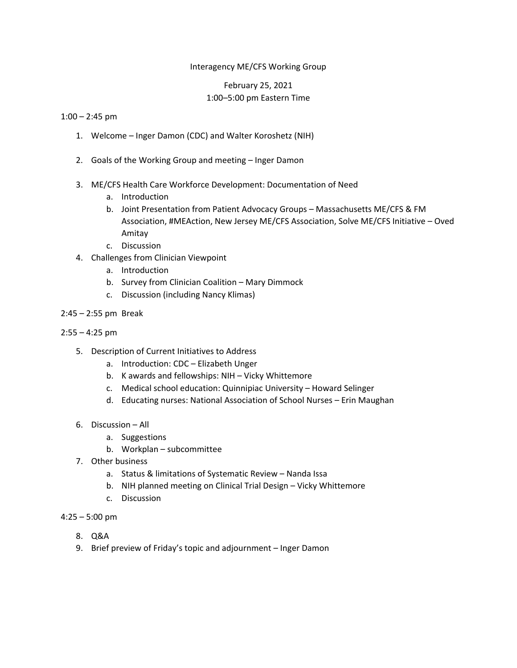## Interagency ME/CFS Working Group

# February 25, 2021 1:00–5:00 pm Eastern Time

#### $1:00 - 2:45$  pm

- 1. Welcome Inger Damon (CDC) and Walter Koroshetz (NIH)
- 2. Goals of the Working Group and meeting Inger Damon
- 3. ME/CFS Health Care Workforce Development: Documentation of Need
	- a. Introduction
	- b. Joint Presentation from Patient Advocacy Groups Massachusetts ME/CFS & FM Association, #MEAction, New Jersey ME/CFS Association, Solve ME/CFS Initiative – Oved Amitay
	- c. Discussion
- 4. Challenges from Clinician Viewpoint
	- a. Introduction
	- b. Survey from Clinician Coalition Mary Dimmock
	- c. Discussion (including Nancy Klimas)
- 2:45 2:55 pm Break
- $2:55 4:25$  pm
	- 5. Description of Current Initiatives to Address
		- a. Introduction: CDC Elizabeth Unger
		- b. K awards and fellowships: NIH Vicky Whittemore
		- c. Medical school education: Quinnipiac University Howard Selinger
		- d. Educating nurses: National Association of School Nurses Erin Maughan
	- 6. Discussion All
		- a. Suggestions
		- b. Workplan subcommittee
	- 7. Other business
		- a. Status & limitations of Systematic Review Nanda Issa
		- b. NIH planned meeting on Clinical Trial Design Vicky Whittemore
		- c. Discussion
- 4:25 5:00 pm
	- 8. Q&A
	- 9. Brief preview of Friday's topic and adjournment Inger Damon